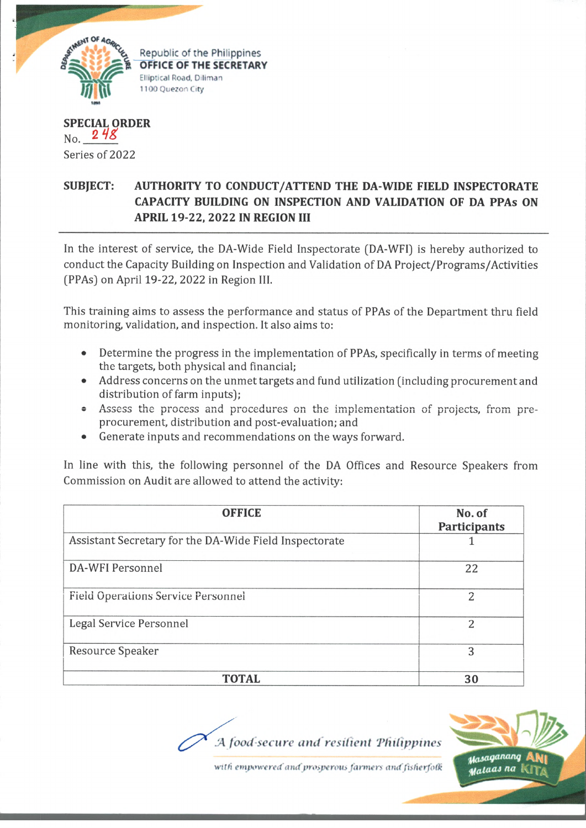

**SPECIAL ORDER**  $_{\rm No.}$  2 48 Series of 2022

## **SUBJECT: AUTHORITY TO CONDUCT/ATTEND THE DA-WIDE FIELD INSPECTORATE CAPACITY BUILDING ON INSPECTION AND VALIDATION OF DA PPAs ON APRIL 19-22, 2022 IN REGION III**

In the interest of service, the DA-Wide Field Inspectorate (DA-WFI) is hereby authorized to conduct the Capacity Building on Inspection and Validation of DA Project/Programs/Activities (PPAs) on April 19-22, 2022 in Region III.

This training aims to assess the performance and status of PPAs of the Department thru field monitoring, validation, and inspection. It also aims to:

- $\bullet$ Determine the progress in the implementation of PPAs, specifically in terms of meeting the targets, both physical and financial;
- Address concerns on the unmet targets and fund utilization (including procurement and distribution of farm inputs);
- Assess the process and procedures on the implementation of projects, from pre procurement, distribution and post-evaluation; and
- Generate inputs and recommendations on the ways forward.

In line with this, the following personnel of the DA Offices and Resource Speakers from Commission on Audit are allowed to attend the activity:

| <b>OFFICE</b>                                          | No. of<br>Participants |
|--------------------------------------------------------|------------------------|
| Assistant Secretary for the DA-Wide Field Inspectorate |                        |
| DA-WFI Personnel                                       | 22                     |
| <b>Field Operations Service Personnel</b>              | $\overline{2}$         |
| Legal Service Personnel                                | 2                      |
| Resource Speaker                                       | 3                      |
| <b>TOTAL</b>                                           | 30                     |

*A load secure and resident Philippines*



with empowered and prosperous farmers and fisherfolk